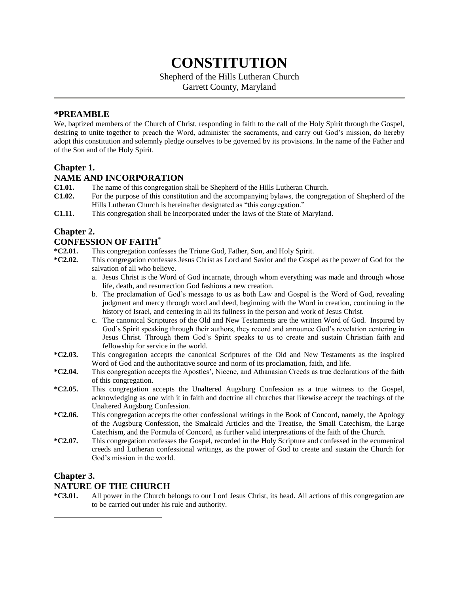# **CONSTITUTION**

# Shepherd of the Hills Lutheran Church

Garrett County, Maryland

### **\*PREAMBLE**

We, baptized members of the Church of Christ, responding in faith to the call of the Holy Spirit through the Gospel, desiring to unite together to preach the Word, administer the sacraments, and carry out God's mission, do hereby adopt this constitution and solemnly pledge ourselves to be governed by its provisions. In the name of the Father and of the Son and of the Holy Spirit.

# **Chapter 1.**

# **NAME AND INCORPORATION**

- **C1.01.** The name of this congregation shall be Shepherd of the Hills Lutheran Church.
- **C1.02.** For the purpose of this constitution and the accompanying bylaws, the congregation of Shepherd of the Hills Lutheran Church is hereinafter designated as "this congregation."
- **C1.11.** This congregation shall be incorporated under the laws of the State of Maryland.

# **Chapter 2.**

# **CONFESSION OF FAITH**\*

- **\*C2.01.** This congregation confesses the Triune God, Father, Son, and Holy Spirit.
- **\*C2.02.** This congregation confesses Jesus Christ as Lord and Savior and the Gospel as the power of God for the salvation of all who believe.
	- a. Jesus Christ is the Word of God incarnate, through whom everything was made and through whose life, death, and resurrection God fashions a new creation.
	- b. The proclamation of God's message to us as both Law and Gospel is the Word of God, revealing judgment and mercy through word and deed, beginning with the Word in creation, continuing in the history of Israel, and centering in all its fullness in the person and work of Jesus Christ.
	- c. The canonical Scriptures of the Old and New Testaments are the written Word of God. Inspired by God's Spirit speaking through their authors, they record and announce God's revelation centering in Jesus Christ. Through them God's Spirit speaks to us to create and sustain Christian faith and fellowship for service in the world.
- **\*C2.03.** This congregation accepts the canonical Scriptures of the Old and New Testaments as the inspired Word of God and the authoritative source and norm of its proclamation, faith, and life.
- **\*C2.04.** This congregation accepts the Apostles', Nicene, and Athanasian Creeds as true declarations of the faith of this congregation.
- **\*C2.05.** This congregation accepts the Unaltered Augsburg Confession as a true witness to the Gospel, acknowledging as one with it in faith and doctrine all churches that likewise accept the teachings of the Unaltered Augsburg Confession.
- **\*C2.06.** This congregation accepts the other confessional writings in the Book of Concord, namely, the Apology of the Augsburg Confession, the Smalcald Articles and the Treatise, the Small Catechism, the Large Catechism, and the Formula of Concord, as further valid interpretations of the faith of the Church.
- **\*C2.07.** This congregation confesses the Gospel, recorded in the Holy Scripture and confessed in the ecumenical creeds and Lutheran confessional writings, as the power of God to create and sustain the Church for God's mission in the world.

# **Chapter 3.**

 $\overline{a}$ 

# **NATURE OF THE CHURCH**

**\*C3.01.** All power in the Church belongs to our Lord Jesus Christ, its head. All actions of this congregation are to be carried out under his rule and authority.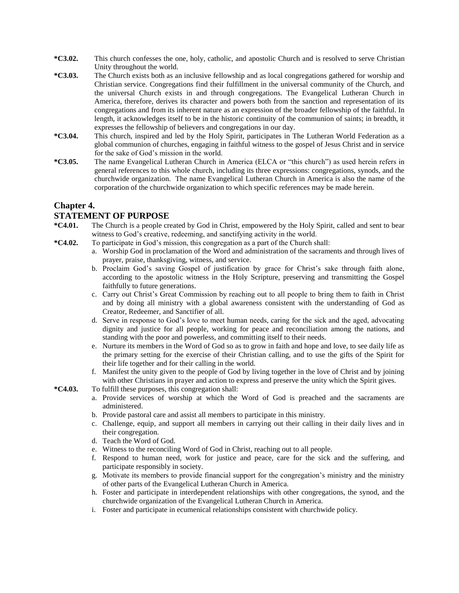- **\*C3.02.** This church confesses the one, holy, catholic, and apostolic Church and is resolved to serve Christian Unity throughout the world.
- **\*C3.03.** The Church exists both as an inclusive fellowship and as local congregations gathered for worship and Christian service. Congregations find their fulfillment in the universal community of the Church, and the universal Church exists in and through congregations. The Evangelical Lutheran Church in America, therefore, derives its character and powers both from the sanction and representation of its congregations and from its inherent nature as an expression of the broader fellowship of the faithful. In length, it acknowledges itself to be in the historic continuity of the communion of saints; in breadth, it expresses the fellowship of believers and congregations in our day.
- **\*C3.04.** This church, inspired and led by the Holy Spirit, participates in The Lutheran World Federation as a global communion of churches, engaging in faithful witness to the gospel of Jesus Christ and in service for the sake of God's mission in the world.
- **\*C3.05.** The name Evangelical Lutheran Church in America (ELCA or "this church") as used herein refers in general references to this whole church, including its three expressions: congregations, synods, and the churchwide organization. The name Evangelical Lutheran Church in America is also the name of the corporation of the churchwide organization to which specific references may be made herein.

# **Chapter 4.**

# **STATEMENT OF PURPOSE**

- **\*C4.01.** The Church is a people created by God in Christ, empowered by the Holy Spirit, called and sent to bear witness to God's creative, redeeming, and sanctifying activity in the world.
- **\*C4.02.** To participate in God's mission, this congregation as a part of the Church shall:
	- a. Worship God in proclamation of the Word and administration of the sacraments and through lives of prayer, praise, thanksgiving, witness, and service.
	- b. Proclaim God's saving Gospel of justification by grace for Christ's sake through faith alone, according to the apostolic witness in the Holy Scripture, preserving and transmitting the Gospel faithfully to future generations.
	- c. Carry out Christ's Great Commission by reaching out to all people to bring them to faith in Christ and by doing all ministry with a global awareness consistent with the understanding of God as Creator, Redeemer, and Sanctifier of all.
	- d. Serve in response to God's love to meet human needs, caring for the sick and the aged, advocating dignity and justice for all people, working for peace and reconciliation among the nations, and standing with the poor and powerless, and committing itself to their needs.
	- e. Nurture its members in the Word of God so as to grow in faith and hope and love, to see daily life as the primary setting for the exercise of their Christian calling, and to use the gifts of the Spirit for their life together and for their calling in the world.
	- f. Manifest the unity given to the people of God by living together in the love of Christ and by joining with other Christians in prayer and action to express and preserve the unity which the Spirit gives.
- **\*C4.03.** To fulfill these purposes, this congregation shall:
	- a. Provide services of worship at which the Word of God is preached and the sacraments are administered.
	- b. Provide pastoral care and assist all members to participate in this ministry.
	- c. Challenge, equip, and support all members in carrying out their calling in their daily lives and in their congregation.
	- d. Teach the Word of God.
	- e. Witness to the reconciling Word of God in Christ, reaching out to all people.
	- f. Respond to human need, work for justice and peace, care for the sick and the suffering, and participate responsibly in society.
	- g. Motivate its members to provide financial support for the congregation's ministry and the ministry of other parts of the Evangelical Lutheran Church in America.
	- h. Foster and participate in interdependent relationships with other congregations, the synod, and the churchwide organization of the Evangelical Lutheran Church in America.
	- i. Foster and participate in ecumenical relationships consistent with churchwide policy.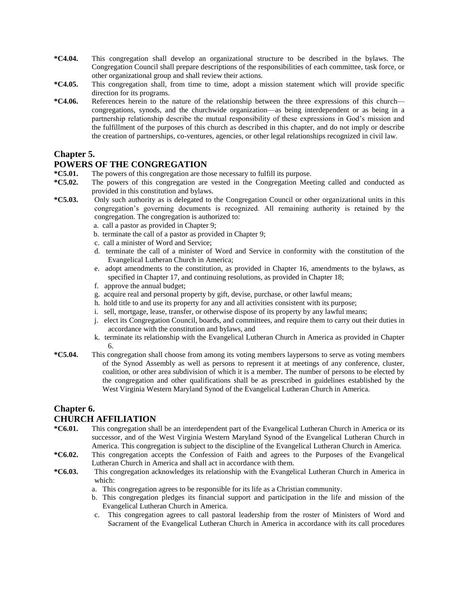- **\*C4.04.** This congregation shall develop an organizational structure to be described in the bylaws. The Congregation Council shall prepare descriptions of the responsibilities of each committee, task force, or other organizational group and shall review their actions.
- **\*C4.05.** This congregation shall, from time to time, adopt a mission statement which will provide specific direction for its programs.
- **\*C4.06.** References herein to the nature of the relationship between the three expressions of this church congregations, synods, and the churchwide organization—as being interdependent or as being in a partnership relationship describe the mutual responsibility of these expressions in God's mission and the fulfillment of the purposes of this church as described in this chapter, and do not imply or describe the creation of partnerships, co-ventures, agencies, or other legal relationships recognized in civil law.

#### **Chapter 5.**

# **POWERS OF THE CONGREGATION**

- **\*C5.01.** The powers of this congregation are those necessary to fulfill its purpose.
- **\*C5.02.** The powers of this congregation are vested in the Congregation Meeting called and conducted as provided in this constitution and bylaws.
- **\*C5.03.** Only such authority as is delegated to the Congregation Council or other organizational units in this congregation's governing documents is recognized. All remaining authority is retained by the congregation. The congregation is authorized to:
	- a. call a pastor as provided in Chapter 9;
	- b. terminate the call of a pastor as provided in Chapter 9;
	- c. call a minister of Word and Service;
	- d. terminate the call of a minister of Word and Service in conformity with the constitution of the Evangelical Lutheran Church in America;
	- e. adopt amendments to the constitution, as provided in Chapter 16, amendments to the bylaws, as specified in Chapter 17, and continuing resolutions, as provided in Chapter 18;
	- f. approve the annual budget;
	- g. acquire real and personal property by gift, devise, purchase, or other lawful means;
	- h. hold title to and use its property for any and all activities consistent with its purpose;
	- i. sell, mortgage, lease, transfer, or otherwise dispose of its property by any lawful means;
	- j. elect its Congregation Council, boards, and committees, and require them to carry out their duties in accordance with the constitution and bylaws, and
	- k. terminate its relationship with the Evangelical Lutheran Church in America as provided in Chapter 6.
- **\*C5.04.** This congregation shall choose from among its voting members laypersons to serve as voting members of the Synod Assembly as well as persons to represent it at meetings of any conference, cluster, coalition, or other area subdivision of which it is a member. The number of persons to be elected by the congregation and other qualifications shall be as prescribed in guidelines established by the West Virginia Western Maryland Synod of the Evangelical Lutheran Church in America.

# **Chapter 6.**

#### **CHURCH AFFILIATION**

- **\*C6.01.** This congregation shall be an interdependent part of the Evangelical Lutheran Church in America or its successor, and of the West Virginia Western Maryland Synod of the Evangelical Lutheran Church in America. This congregation is subject to the discipline of the Evangelical Lutheran Church in America.
- **\*C6.02.** This congregation accepts the Confession of Faith and agrees to the Purposes of the Evangelical Lutheran Church in America and shall act in accordance with them.
- **\*C6.03.** This congregation acknowledges its relationship with the Evangelical Lutheran Church in America in which:
	- a. This congregation agrees to be responsible for its life as a Christian community.
	- b. This congregation pledges its financial support and participation in the life and mission of the Evangelical Lutheran Church in America.
	- c. This congregation agrees to call pastoral leadership from the roster of Ministers of Word and Sacrament of the Evangelical Lutheran Church in America in accordance with its call procedures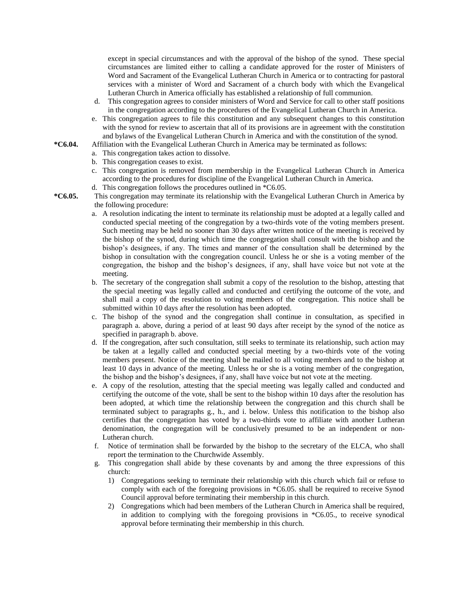except in special circumstances and with the approval of the bishop of the synod. These special circumstances are limited either to calling a candidate approved for the roster of Ministers of Word and Sacrament of the Evangelical Lutheran Church in America or to contracting for pastoral services with a minister of Word and Sacrament of a church body with which the Evangelical Lutheran Church in America officially has established a relationship of full communion.

- d. This congregation agrees to consider ministers of Word and Service for call to other staff positions in the congregation according to the procedures of the Evangelical Lutheran Church in America.
- e. This congregation agrees to file this constitution and any subsequent changes to this constitution with the synod for review to ascertain that all of its provisions are in agreement with the constitution and bylaws of the Evangelical Lutheran Church in America and with the constitution of the synod.
- **\*C6.04.** Affiliation with the Evangelical Lutheran Church in America may be terminated as follows:
	- a. This congregation takes action to dissolve.
	- b. This congregation ceases to exist.
	- c. This congregation is removed from membership in the Evangelical Lutheran Church in America according to the procedures for discipline of the Evangelical Lutheran Church in America.
	- d. This congregation follows the procedures outlined in \*C6.05.
- **\*C6.05.** This congregation may terminate its relationship with the Evangelical Lutheran Church in America by the following procedure:
	- a. A resolution indicating the intent to terminate its relationship must be adopted at a legally called and conducted special meeting of the congregation by a two-thirds vote of the voting members present. Such meeting may be held no sooner than 30 days after written notice of the meeting is received by the bishop of the synod, during which time the congregation shall consult with the bishop and the bishop's designees, if any. The times and manner of the consultation shall be determined by the bishop in consultation with the congregation council. Unless he or she is a voting member of the congregation, the bishop and the bishop's designees, if any, shall have voice but not vote at the meeting.
	- b. The secretary of the congregation shall submit a copy of the resolution to the bishop, attesting that the special meeting was legally called and conducted and certifying the outcome of the vote, and shall mail a copy of the resolution to voting members of the congregation. This notice shall be submitted within 10 days after the resolution has been adopted.
	- c. The bishop of the synod and the congregation shall continue in consultation, as specified in paragraph a. above, during a period of at least 90 days after receipt by the synod of the notice as specified in paragraph b. above.
	- d. If the congregation, after such consultation, still seeks to terminate its relationship, such action may be taken at a legally called and conducted special meeting by a two-thirds vote of the voting members present. Notice of the meeting shall be mailed to all voting members and to the bishop at least 10 days in advance of the meeting. Unless he or she is a voting member of the congregation, the bishop and the bishop's designees, if any, shall have voice but not vote at the meeting.
	- e. A copy of the resolution, attesting that the special meeting was legally called and conducted and certifying the outcome of the vote, shall be sent to the bishop within 10 days after the resolution has been adopted, at which time the relationship between the congregation and this church shall be terminated subject to paragraphs g., h., and i. below. Unless this notification to the bishop also certifies that the congregation has voted by a two-thirds vote to affiliate with another Lutheran denomination, the congregation will be conclusively presumed to be an independent or non-Lutheran church.
	- f. Notice of termination shall be forwarded by the bishop to the secretary of the ELCA, who shall report the termination to the Churchwide Assembly.
	- g. This congregation shall abide by these covenants by and among the three expressions of this church:
		- 1) Congregations seeking to terminate their relationship with this church which fail or refuse to comply with each of the foregoing provisions in \*C6.05. shall be required to receive Synod Council approval before terminating their membership in this church.
		- 2) Congregations which had been members of the Lutheran Church in America shall be required, in addition to complying with the foregoing provisions in  $*C6.05$ ., to receive synodical approval before terminating their membership in this church.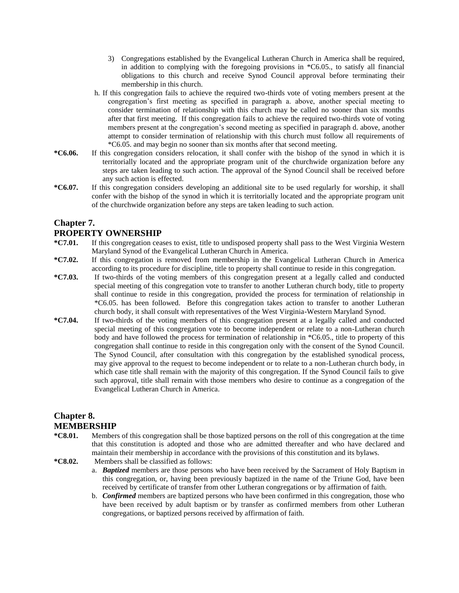- 3) Congregations established by the Evangelical Lutheran Church in America shall be required, in addition to complying with the foregoing provisions in  $*C6.05$ , to satisfy all financial obligations to this church and receive Synod Council approval before terminating their membership in this church.
- h. If this congregation fails to achieve the required two-thirds vote of voting members present at the congregation's first meeting as specified in paragraph a. above, another special meeting to consider termination of relationship with this church may be called no sooner than six months after that first meeting. If this congregation fails to achieve the required two-thirds vote of voting members present at the congregation's second meeting as specified in paragraph d. above, another attempt to consider termination of relationship with this church must follow all requirements of \*C6.05. and may begin no sooner than six months after that second meeting.
- **\*C6.06.** If this congregation considers relocation, it shall confer with the bishop of the synod in which it is territorially located and the appropriate program unit of the churchwide organization before any steps are taken leading to such action. The approval of the Synod Council shall be received before any such action is effected.
- **\*C6.07.** If this congregation considers developing an additional site to be used regularly for worship, it shall confer with the bishop of the synod in which it is territorially located and the appropriate program unit of the churchwide organization before any steps are taken leading to such action.

# **Chapter 7.**

# **PROPERTY OWNERSHIP**

- **\*C7.01.** If this congregation ceases to exist, title to undisposed property shall pass to the West Virginia Western Maryland Synod of the Evangelical Lutheran Church in America.
- **\*C7.02.** If this congregation is removed from membership in the Evangelical Lutheran Church in America according to its procedure for discipline, title to property shall continue to reside in this congregation.
- **\*C7.03.** If two-thirds of the voting members of this congregation present at a legally called and conducted special meeting of this congregation vote to transfer to another Lutheran church body, title to property shall continue to reside in this congregation, provided the process for termination of relationship in \*C6.05. has been followed. Before this congregation takes action to transfer to another Lutheran church body, it shall consult with representatives of the West Virginia-Western Maryland Synod.
- **\*C7.04.** If two-thirds of the voting members of this congregation present at a legally called and conducted special meeting of this congregation vote to become independent or relate to a non-Lutheran church body and have followed the process for termination of relationship in \*C6.05., title to property of this congregation shall continue to reside in this congregation only with the consent of the Synod Council. The Synod Council, after consultation with this congregation by the established synodical process, may give approval to the request to become independent or to relate to a non-Lutheran church body, in which case title shall remain with the majority of this congregation. If the Synod Council fails to give such approval, title shall remain with those members who desire to continue as a congregation of the Evangelical Lutheran Church in America.

# **Chapter 8. MEMBERSHIP**

- **\*C8.01.** Members of this congregation shall be those baptized persons on the roll of this congregation at the time that this constitution is adopted and those who are admitted thereafter and who have declared and maintain their membership in accordance with the provisions of this constitution and its bylaws.
- **\*C8.02.** Members shall be classified as follows:
	- a. *Baptized* members are those persons who have been received by the Sacrament of Holy Baptism in this congregation, or, having been previously baptized in the name of the Triune God, have been received by certificate of transfer from other Lutheran congregations or by affirmation of faith.
	- b. *Confirmed* members are baptized persons who have been confirmed in this congregation, those who have been received by adult baptism or by transfer as confirmed members from other Lutheran congregations, or baptized persons received by affirmation of faith.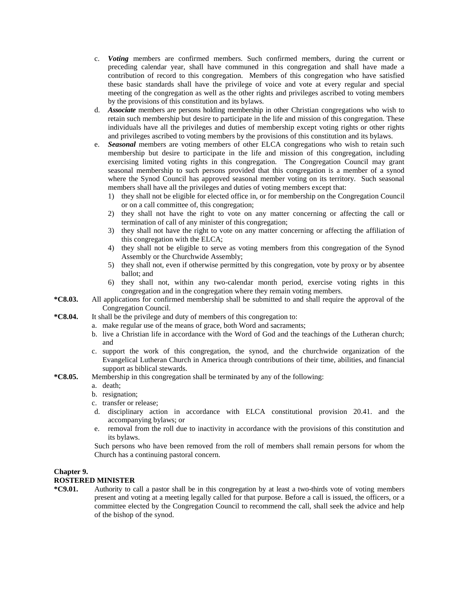- c. *Voting* members are confirmed members. Such confirmed members, during the current or preceding calendar year, shall have communed in this congregation and shall have made a contribution of record to this congregation. Members of this congregation who have satisfied these basic standards shall have the privilege of voice and vote at every regular and special meeting of the congregation as well as the other rights and privileges ascribed to voting members by the provisions of this constitution and its bylaws.
- d. *Associate* members are persons holding membership in other Christian congregations who wish to retain such membership but desire to participate in the life and mission of this congregation. These individuals have all the privileges and duties of membership except voting rights or other rights and privileges ascribed to voting members by the provisions of this constitution and its bylaws.
- e. *Seasonal* members are voting members of other ELCA congregations who wish to retain such membership but desire to participate in the life and mission of this congregation, including exercising limited voting rights in this congregation. The Congregation Council may grant seasonal membership to such persons provided that this congregation is a member of a synod where the Synod Council has approved seasonal member voting on its territory. Such seasonal members shall have all the privileges and duties of voting members except that:
	- 1) they shall not be eligible for elected office in, or for membership on the Congregation Council or on a call committee of, this congregation;
	- 2) they shall not have the right to vote on any matter concerning or affecting the call or termination of call of any minister of this congregation;
	- 3) they shall not have the right to vote on any matter concerning or affecting the affiliation of this congregation with the ELCA;
	- 4) they shall not be eligible to serve as voting members from this congregation of the Synod Assembly or the Churchwide Assembly;
	- 5) they shall not, even if otherwise permitted by this congregation, vote by proxy or by absentee ballot; and
	- 6) they shall not, within any two-calendar month period, exercise voting rights in this congregation and in the congregation where they remain voting members.
- **\*C8.03.** All applications for confirmed membership shall be submitted to and shall require the approval of the Congregation Council.
- **\*C8.04.** It shall be the privilege and duty of members of this congregation to:
	- a. make regular use of the means of grace, both Word and sacraments;
	- b. live a Christian life in accordance with the Word of God and the teachings of the Lutheran church; and
	- c. support the work of this congregation, the synod, and the churchwide organization of the Evangelical Lutheran Church in America through contributions of their time, abilities, and financial support as biblical stewards.
- **\*C8.05.** Membership in this congregation shall be terminated by any of the following:
	- a. death;
	- b. resignation;
	- c. transfer or release;
	- d. disciplinary action in accordance with ELCA constitutional provision 20.41. and the accompanying bylaws; or
	- e. removal from the roll due to inactivity in accordance with the provisions of this constitution and its bylaws.

Such persons who have been removed from the roll of members shall remain persons for whom the Church has a continuing pastoral concern.

#### **Chapter 9.**

#### **ROSTERED MINISTER**

**\*C9.01.** Authority to call a pastor shall be in this congregation by at least a two-thirds vote of voting members present and voting at a meeting legally called for that purpose. Before a call is issued, the officers, or a committee elected by the Congregation Council to recommend the call, shall seek the advice and help of the bishop of the synod.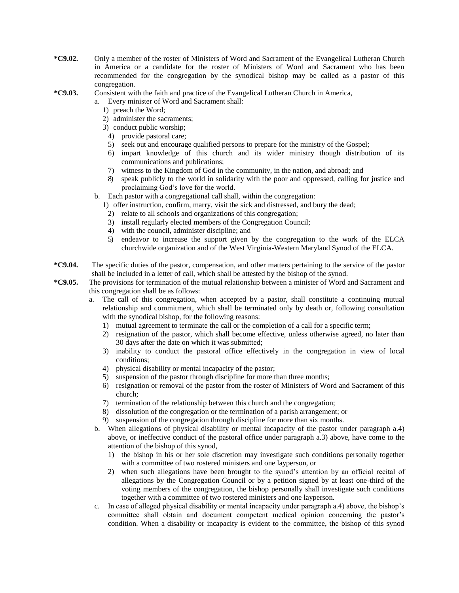- **\*C9.02.** Only a member of the roster of Ministers of Word and Sacrament of the Evangelical Lutheran Church in America or a candidate for the roster of Ministers of Word and Sacrament who has been recommended for the congregation by the synodical bishop may be called as a pastor of this congregation.
- **\*C9.03.** Consistent with the faith and practice of the Evangelical Lutheran Church in America,
	- a. Every minister of Word and Sacrament shall:
		- 1) preach the Word;
		- 2) administer the sacraments;
		- 3) conduct public worship;
		- 4) provide pastoral care;
		- 5) seek out and encourage qualified persons to prepare for the ministry of the Gospel;
		- 6) impart knowledge of this church and its wider ministry though distribution of its communications and publications;
		- 7) witness to the Kingdom of God in the community, in the nation, and abroad; and
		- 8) speak publicly to the world in solidarity with the poor and oppressed, calling for justice and proclaiming God's love for the world.
	- b. Each pastor with a congregational call shall, within the congregation:
		- 1) offer instruction, confirm, marry, visit the sick and distressed, and bury the dead;
		- 2) relate to all schools and organizations of this congregation;
		- 3) install regularly elected members of the Congregation Council;
		- 4) with the council, administer discipline; and
		- 5) endeavor to increase the support given by the congregation to the work of the ELCA churchwide organization and of the West Virginia-Western Maryland Synod of the ELCA.
- **\*C9.04.** The specific duties of the pastor, compensation, and other matters pertaining to the service of the pastor shall be included in a letter of call, which shall be attested by the bishop of the synod.
- **\*C9.05.** The provisions for termination of the mutual relationship between a minister of Word and Sacrament and this congregation shall be as follows:
	- a. The call of this congregation, when accepted by a pastor, shall constitute a continuing mutual relationship and commitment, which shall be terminated only by death or, following consultation with the synodical bishop, for the following reasons:
		- 1) mutual agreement to terminate the call or the completion of a call for a specific term;
		- 2) resignation of the pastor, which shall become effective, unless otherwise agreed, no later than 30 days after the date on which it was submitted;
		- 3) inability to conduct the pastoral office effectively in the congregation in view of local conditions;
		- 4) physical disability or mental incapacity of the pastor;
		- 5) suspension of the pastor through discipline for more than three months;
		- 6) resignation or removal of the pastor from the roster of Ministers of Word and Sacrament of this church;
		- 7) termination of the relationship between this church and the congregation;
		- 8) dissolution of the congregation or the termination of a parish arrangement; or
		- 9) suspension of the congregation through discipline for more than six months.
		- b. When allegations of physical disability or mental incapacity of the pastor under paragraph a.4) above, or ineffective conduct of the pastoral office under paragraph a.3) above, have come to the attention of the bishop of this synod,
			- 1) the bishop in his or her sole discretion may investigate such conditions personally together with a committee of two rostered ministers and one layperson, or
			- 2) when such allegations have been brought to the synod's attention by an official recital of allegations by the Congregation Council or by a petition signed by at least one-third of the voting members of the congregation, the bishop personally shall investigate such conditions together with a committee of two rostered ministers and one layperson.
	- c. In case of alleged physical disability or mental incapacity under paragraph a.4) above, the bishop's committee shall obtain and document competent medical opinion concerning the pastor's condition. When a disability or incapacity is evident to the committee, the bishop of this synod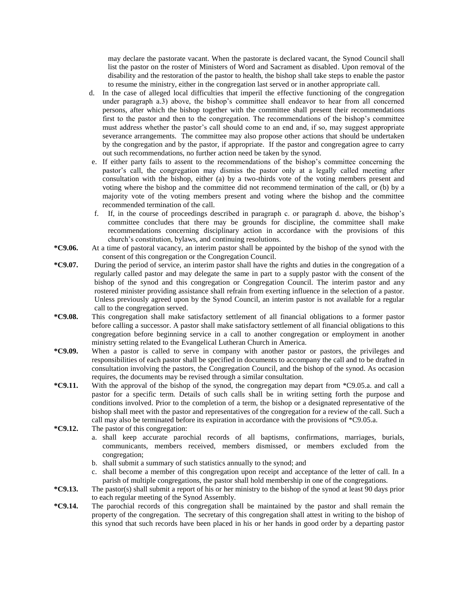may declare the pastorate vacant. When the pastorate is declared vacant, the Synod Council shall list the pastor on the roster of Ministers of Word and Sacrament as disabled. Upon removal of the disability and the restoration of the pastor to health, the bishop shall take steps to enable the pastor to resume the ministry, either in the congregation last served or in another appropriate call.

- d. In the case of alleged local difficulties that imperil the effective functioning of the congregation under paragraph a.3) above, the bishop's committee shall endeavor to hear from all concerned persons, after which the bishop together with the committee shall present their recommendations first to the pastor and then to the congregation. The recommendations of the bishop's committee must address whether the pastor's call should come to an end and, if so, may suggest appropriate severance arrangements. The committee may also propose other actions that should be undertaken by the congregation and by the pastor, if appropriate. If the pastor and congregation agree to carry out such recommendations, no further action need be taken by the synod.
- e. If either party fails to assent to the recommendations of the bishop's committee concerning the pastor's call, the congregation may dismiss the pastor only at a legally called meeting after consultation with the bishop, either (a) by a two-thirds vote of the voting members present and voting where the bishop and the committee did not recommend termination of the call, or (b) by a majority vote of the voting members present and voting where the bishop and the committee recommended termination of the call.
- f. If, in the course of proceedings described in paragraph c. or paragraph d. above, the bishop's committee concludes that there may be grounds for discipline, the committee shall make recommendations concerning disciplinary action in accordance with the provisions of this church's constitution, bylaws, and continuing resolutions.
- **\*C9.06.** At a time of pastoral vacancy, an interim pastor shall be appointed by the bishop of the synod with the consent of this congregation or the Congregation Council.
- **\*C9.07.** During the period of service, an interim pastor shall have the rights and duties in the congregation of a regularly called pastor and may delegate the same in part to a supply pastor with the consent of the bishop of the synod and this congregation or Congregation Council. The interim pastor and any rostered minister providing assistance shall refrain from exerting influence in the selection of a pastor. Unless previously agreed upon by the Synod Council, an interim pastor is not available for a regular call to the congregation served.
- **\*C9.08.** This congregation shall make satisfactory settlement of all financial obligations to a former pastor before calling a successor. A pastor shall make satisfactory settlement of all financial obligations to this congregation before beginning service in a call to another congregation or employment in another ministry setting related to the Evangelical Lutheran Church in America.
- **\*C9.09.** When a pastor is called to serve in company with another pastor or pastors, the privileges and responsibilities of each pastor shall be specified in documents to accompany the call and to be drafted in consultation involving the pastors, the Congregation Council, and the bishop of the synod. As occasion requires, the documents may be revised through a similar consultation.
- **\*C9.11.** With the approval of the bishop of the synod, the congregation may depart from \*C9.05.a. and call a pastor for a specific term. Details of such calls shall be in writing setting forth the purpose and conditions involved. Prior to the completion of a term, the bishop or a designated representative of the bishop shall meet with the pastor and representatives of the congregation for a review of the call. Such a call may also be terminated before its expiration in accordance with the provisions of \*C9.05.a.
- **\*C9.12.** The pastor of this congregation:
	- a. shall keep accurate parochial records of all baptisms, confirmations, marriages, burials, communicants, members received, members dismissed, or members excluded from the congregation;
	- b. shall submit a summary of such statistics annually to the synod; and
	- c. shall become a member of this congregation upon receipt and acceptance of the letter of call. In a parish of multiple congregations, the pastor shall hold membership in one of the congregations.
- **\*C9.13.** The pastor(s) shall submit a report of his or her ministry to the bishop of the synod at least 90 days prior to each regular meeting of the Synod Assembly.
- **\*C9.14.** The parochial records of this congregation shall be maintained by the pastor and shall remain the property of the congregation. The secretary of this congregation shall attest in writing to the bishop of this synod that such records have been placed in his or her hands in good order by a departing pastor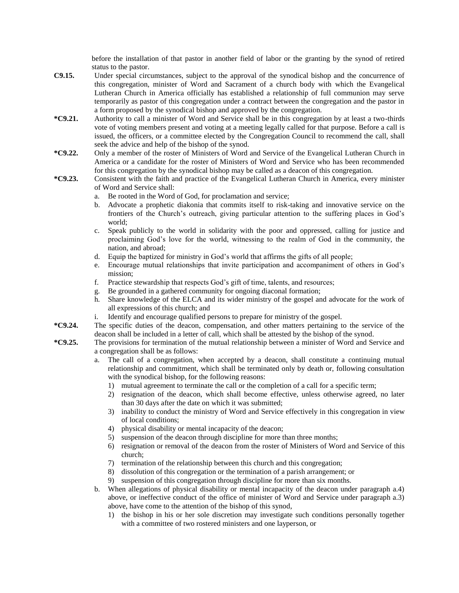before the installation of that pastor in another field of labor or the granting by the synod of retired status to the pastor.

- **C9.15.** Under special circumstances, subject to the approval of the synodical bishop and the concurrence of this congregation, minister of Word and Sacrament of a church body with which the Evangelical Lutheran Church in America officially has established a relationship of full communion may serve temporarily as pastor of this congregation under a contract between the congregation and the pastor in a form proposed by the synodical bishop and approved by the congregation.
- **\*C9.21.** Authority to call a minister of Word and Service shall be in this congregation by at least a two-thirds vote of voting members present and voting at a meeting legally called for that purpose. Before a call is issued, the officers, or a committee elected by the Congregation Council to recommend the call, shall seek the advice and help of the bishop of the synod.
- **\*C9.22.** Only a member of the roster of Ministers of Word and Service of the Evangelical Lutheran Church in America or a candidate for the roster of Ministers of Word and Service who has been recommended for this congregation by the synodical bishop may be called as a deacon of this congregation.
- **\*C9.23.** Consistent with the faith and practice of the Evangelical Lutheran Church in America, every minister of Word and Service shall:
	- a. Be rooted in the Word of God, for proclamation and service;
	- b. Advocate a prophetic diakonia that commits itself to risk-taking and innovative service on the frontiers of the Church's outreach, giving particular attention to the suffering places in God's world;
	- c. Speak publicly to the world in solidarity with the poor and oppressed, calling for justice and proclaiming God's love for the world, witnessing to the realm of God in the community, the nation, and abroad;
	- d. Equip the baptized for ministry in God's world that affirms the gifts of all people;
	- e. Encourage mutual relationships that invite participation and accompaniment of others in God's mission;
	- f. Practice stewardship that respects God's gift of time, talents, and resources;
	- g. Be grounded in a gathered community for ongoing diaconal formation;
	- h. Share knowledge of the ELCA and its wider ministry of the gospel and advocate for the work of all expressions of this church; and
	- i. Identify and encourage qualified persons to prepare for ministry of the gospel.
- **\*C9.24.** The specific duties of the deacon, compensation, and other matters pertaining to the service of the deacon shall be included in a letter of call, which shall be attested by the bishop of the synod.
- **\*C9.25.** The provisions for termination of the mutual relationship between a minister of Word and Service and a congregation shall be as follows:
	- a. The call of a congregation, when accepted by a deacon, shall constitute a continuing mutual relationship and commitment, which shall be terminated only by death or, following consultation with the synodical bishop, for the following reasons:
		- 1) mutual agreement to terminate the call or the completion of a call for a specific term;
		- 2) resignation of the deacon, which shall become effective, unless otherwise agreed, no later than 30 days after the date on which it was submitted;
		- 3) inability to conduct the ministry of Word and Service effectively in this congregation in view of local conditions;
		- 4) physical disability or mental incapacity of the deacon;
		- 5) suspension of the deacon through discipline for more than three months;
		- 6) resignation or removal of the deacon from the roster of Ministers of Word and Service of this church;
		- 7) termination of the relationship between this church and this congregation;
		- 8) dissolution of this congregation or the termination of a parish arrangement; or
		- 9) suspension of this congregation through discipline for more than six months.
	- b. When allegations of physical disability or mental incapacity of the deacon under paragraph a.4) above, or ineffective conduct of the office of minister of Word and Service under paragraph a.3) above, have come to the attention of the bishop of this synod,
		- 1) the bishop in his or her sole discretion may investigate such conditions personally together with a committee of two rostered ministers and one layperson, or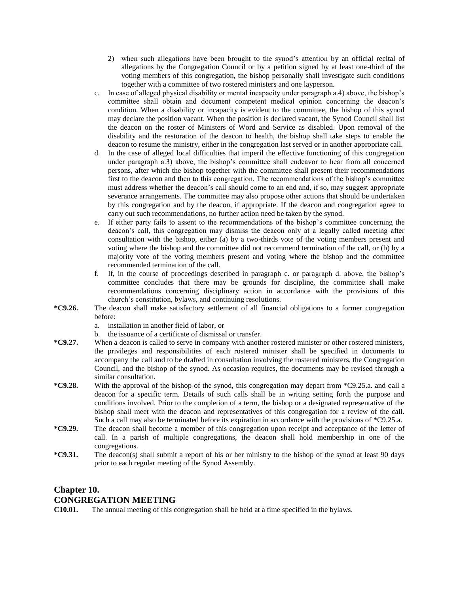- 2) when such allegations have been brought to the synod's attention by an official recital of allegations by the Congregation Council or by a petition signed by at least one-third of the voting members of this congregation, the bishop personally shall investigate such conditions together with a committee of two rostered ministers and one layperson.
- c. In case of alleged physical disability or mental incapacity under paragraph a.4) above, the bishop's committee shall obtain and document competent medical opinion concerning the deacon's condition. When a disability or incapacity is evident to the committee, the bishop of this synod may declare the position vacant. When the position is declared vacant, the Synod Council shall list the deacon on the roster of Ministers of Word and Service as disabled. Upon removal of the disability and the restoration of the deacon to health, the bishop shall take steps to enable the deacon to resume the ministry, either in the congregation last served or in another appropriate call.
- d. In the case of alleged local difficulties that imperil the effective functioning of this congregation under paragraph a.3) above, the bishop's committee shall endeavor to hear from all concerned persons, after which the bishop together with the committee shall present their recommendations first to the deacon and then to this congregation. The recommendations of the bishop's committee must address whether the deacon's call should come to an end and, if so, may suggest appropriate severance arrangements. The committee may also propose other actions that should be undertaken by this congregation and by the deacon, if appropriate. If the deacon and congregation agree to carry out such recommendations, no further action need be taken by the synod.
- e. If either party fails to assent to the recommendations of the bishop's committee concerning the deacon's call, this congregation may dismiss the deacon only at a legally called meeting after consultation with the bishop, either (a) by a two-thirds vote of the voting members present and voting where the bishop and the committee did not recommend termination of the call, or (b) by a majority vote of the voting members present and voting where the bishop and the committee recommended termination of the call.
- f. If, in the course of proceedings described in paragraph c. or paragraph d. above, the bishop's committee concludes that there may be grounds for discipline, the committee shall make recommendations concerning disciplinary action in accordance with the provisions of this church's constitution, bylaws, and continuing resolutions.
- **\*C9.26.** The deacon shall make satisfactory settlement of all financial obligations to a former congregation before:
	- a. installation in another field of labor, or
	- b. the issuance of a certificate of dismissal or transfer.
- **\*C9.27.** When a deacon is called to serve in company with another rostered minister or other rostered ministers, the privileges and responsibilities of each rostered minister shall be specified in documents to accompany the call and to be drafted in consultation involving the rostered ministers, the Congregation Council, and the bishop of the synod. As occasion requires, the documents may be revised through a similar consultation.
- **\*C9.28.** With the approval of the bishop of the synod, this congregation may depart from \*C9.25.a. and call a deacon for a specific term. Details of such calls shall be in writing setting forth the purpose and conditions involved. Prior to the completion of a term, the bishop or a designated representative of the bishop shall meet with the deacon and representatives of this congregation for a review of the call. Such a call may also be terminated before its expiration in accordance with the provisions of \*C9.25.a.
- **\*C9.29.** The deacon shall become a member of this congregation upon receipt and acceptance of the letter of call. In a parish of multiple congregations, the deacon shall hold membership in one of the congregations.
- **\*C9.31.** The deacon(s) shall submit a report of his or her ministry to the bishop of the synod at least 90 days prior to each regular meeting of the Synod Assembly.

#### **Chapter 10. CONGREGATION MEETING**

**C10.01.** The annual meeting of this congregation shall be held at a time specified in the bylaws.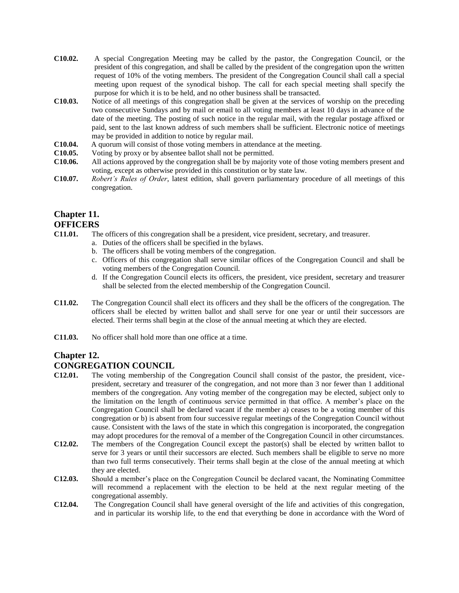- **C10.02.** A special Congregation Meeting may be called by the pastor, the Congregation Council, or the president of this congregation, and shall be called by the president of the congregation upon the written request of 10% of the voting members. The president of the Congregation Council shall call a special meeting upon request of the synodical bishop. The call for each special meeting shall specify the purpose for which it is to be held, and no other business shall be transacted.
- **C10.03.** Notice of all meetings of this congregation shall be given at the services of worship on the preceding two consecutive Sundays and by mail or email to all voting members at least 10 days in advance of the date of the meeting. The posting of such notice in the regular mail, with the regular postage affixed or paid, sent to the last known address of such members shall be sufficient. Electronic notice of meetings may be provided in addition to notice by regular mail.
- **C10.04.** A quorum will consist of those voting members in attendance at the meeting.
- **C10.05.** Voting by proxy or by absentee ballot shall not be permitted.
- **C10.06.** All actions approved by the congregation shall be by majority vote of those voting members present and voting, except as otherwise provided in this constitution or by state law.
- **C10.07.** *Robert's Rules of Order*, latest edition, shall govern parliamentary procedure of all meetings of this congregation.

# **Chapter 11. OFFICERS**

**C11.01.** The officers of this congregation shall be a president, vice president, secretary, and treasurer.

- a. Duties of the officers shall be specified in the bylaws.
- b. The officers shall be voting members of the congregation.
- c. Officers of this congregation shall serve similar offices of the Congregation Council and shall be voting members of the Congregation Council.
- d. If the Congregation Council elects its officers, the president, vice president, secretary and treasurer shall be selected from the elected membership of the Congregation Council.
- **C11.02.** The Congregation Council shall elect its officers and they shall be the officers of the congregation. The officers shall be elected by written ballot and shall serve for one year or until their successors are elected. Their terms shall begin at the close of the annual meeting at which they are elected.
- **C11.03.** No officer shall hold more than one office at a time.

# **Chapter 12.**

# **CONGREGATION COUNCIL**

- **C12.01.** The voting membership of the Congregation Council shall consist of the pastor, the president, vicepresident, secretary and treasurer of the congregation, and not more than 3 nor fewer than 1 additional members of the congregation. Any voting member of the congregation may be elected, subject only to the limitation on the length of continuous service permitted in that office. A member's place on the Congregation Council shall be declared vacant if the member a) ceases to be a voting member of this congregation or b) is absent from four successive regular meetings of the Congregation Council without cause. Consistent with the laws of the state in which this congregation is incorporated, the congregation may adopt procedures for the removal of a member of the Congregation Council in other circumstances.
- **C12.02.** The members of the Congregation Council except the pastor(s) shall be elected by written ballot to serve for 3 years or until their successors are elected. Such members shall be eligible to serve no more than two full terms consecutively. Their terms shall begin at the close of the annual meeting at which they are elected.
- **C12.03.** Should a member's place on the Congregation Council be declared vacant, the Nominating Committee will recommend a replacement with the election to be held at the next regular meeting of the congregational assembly.
- **C12.04.** The Congregation Council shall have general oversight of the life and activities of this congregation, and in particular its worship life, to the end that everything be done in accordance with the Word of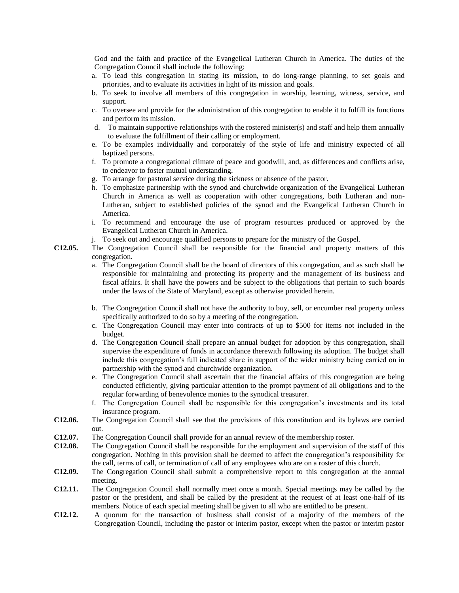God and the faith and practice of the Evangelical Lutheran Church in America. The duties of the Congregation Council shall include the following:

- a. To lead this congregation in stating its mission, to do long-range planning, to set goals and priorities, and to evaluate its activities in light of its mission and goals.
- b. To seek to involve all members of this congregation in worship, learning, witness, service, and support.
- c. To oversee and provide for the administration of this congregation to enable it to fulfill its functions and perform its mission.
- d. To maintain supportive relationships with the rostered minister(s) and staff and help them annually to evaluate the fulfillment of their calling or employment.
- e. To be examples individually and corporately of the style of life and ministry expected of all baptized persons.
- f. To promote a congregational climate of peace and goodwill, and, as differences and conflicts arise, to endeavor to foster mutual understanding.
- g. To arrange for pastoral service during the sickness or absence of the pastor.
- h. To emphasize partnership with the synod and churchwide organization of the Evangelical Lutheran Church in America as well as cooperation with other congregations, both Lutheran and non-Lutheran, subject to established policies of the synod and the Evangelical Lutheran Church in America.
- i. To recommend and encourage the use of program resources produced or approved by the Evangelical Lutheran Church in America.
- j. To seek out and encourage qualified persons to prepare for the ministry of the Gospel.
- **C12.05.** The Congregation Council shall be responsible for the financial and property matters of this congregation.
	- a. The Congregation Council shall be the board of directors of this congregation, and as such shall be responsible for maintaining and protecting its property and the management of its business and fiscal affairs. It shall have the powers and be subject to the obligations that pertain to such boards under the laws of the State of Maryland, except as otherwise provided herein.
	- b. The Congregation Council shall not have the authority to buy, sell, or encumber real property unless specifically authorized to do so by a meeting of the congregation.
	- c. The Congregation Council may enter into contracts of up to \$500 for items not included in the budget.
	- d. The Congregation Council shall prepare an annual budget for adoption by this congregation, shall supervise the expenditure of funds in accordance therewith following its adoption. The budget shall include this congregation's full indicated share in support of the wider ministry being carried on in partnership with the synod and churchwide organization.
	- e. The Congregation Council shall ascertain that the financial affairs of this congregation are being conducted efficiently, giving particular attention to the prompt payment of all obligations and to the regular forwarding of benevolence monies to the synodical treasurer.
	- f. The Congregation Council shall be responsible for this congregation's investments and its total insurance program.
- **C12.06.** The Congregation Council shall see that the provisions of this constitution and its bylaws are carried out.
- **C12.07.** The Congregation Council shall provide for an annual review of the membership roster.
- **C12.08.** The Congregation Council shall be responsible for the employment and supervision of the staff of this congregation. Nothing in this provision shall be deemed to affect the congregation's responsibility for the call, terms of call, or termination of call of any employees who are on a roster of this church.
- **C12.09.** The Congregation Council shall submit a comprehensive report to this congregation at the annual meeting.
- **C12.11.** The Congregation Council shall normally meet once a month. Special meetings may be called by the pastor or the president, and shall be called by the president at the request of at least one-half of its members. Notice of each special meeting shall be given to all who are entitled to be present.
- **C12.12.** A quorum for the transaction of business shall consist of a majority of the members of the Congregation Council, including the pastor or interim pastor, except when the pastor or interim pastor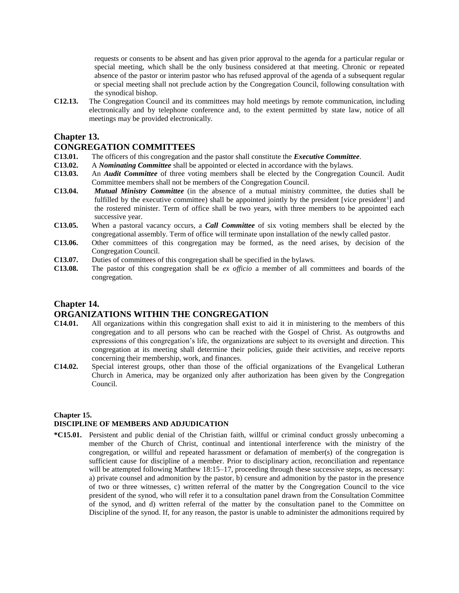requests or consents to be absent and has given prior approval to the agenda for a particular regular or special meeting, which shall be the only business considered at that meeting. Chronic or repeated absence of the pastor or interim pastor who has refused approval of the agenda of a subsequent regular or special meeting shall not preclude action by the Congregation Council, following consultation with the synodical bishop.

**C12.13.** The Congregation Council and its committees may hold meetings by remote communication, including electronically and by telephone conference and, to the extent permitted by state law, notice of all meetings may be provided electronically.

#### **Chapter 13.**

#### **CONGREGATION COMMITTEES**

- **C13.01.** The officers of this congregation and the pastor shall constitute the *Executive Committee*.
- **C13.02.** A *Nominating Committee* shall be appointed or elected in accordance with the bylaws.
- **C13.03.** An *Audit Committee* of three voting members shall be elected by the Congregation Council. Audit Committee members shall not be members of the Congregation Council.
- **C13.04.** *Mutual Ministry Committee* (in the absence of a mutual ministry committee, the duties shall be fulfilled by the executive committee) shall be appointed jointly by the president [vice president<sup>1</sup>] and the rostered minister. Term of office shall be two years, with three members to be appointed each successive year.
- **C13.05.** When a pastoral vacancy occurs, a *Call Committee* of six voting members shall be elected by the congregational assembly. Term of office will terminate upon installation of the newly called pastor.
- **C13.06.** Other committees of this congregation may be formed, as the need arises, by decision of the Congregation Council.
- **C13.07.** Duties of committees of this congregation shall be specified in the bylaws.
- **C13.08.** The pastor of this congregation shall be *ex officio* a member of all committees and boards of the congregation.

#### **Chapter 14.**

#### **ORGANIZATIONS WITHIN THE CONGREGATION**

- **C14.01.** All organizations within this congregation shall exist to aid it in ministering to the members of this congregation and to all persons who can be reached with the Gospel of Christ. As outgrowths and expressions of this congregation's life, the organizations are subject to its oversight and direction. This congregation at its meeting shall determine their policies, guide their activities, and receive reports concerning their membership, work, and finances.
- **C14.02.** Special interest groups, other than those of the official organizations of the Evangelical Lutheran Church in America, may be organized only after authorization has been given by the Congregation Council.

#### **Chapter 15.**

#### **DISCIPLINE OF MEMBERS AND ADJUDICATION**

**\*C15.01.** Persistent and public denial of the Christian faith, willful or criminal conduct grossly unbecoming a member of the Church of Christ, continual and intentional interference with the ministry of the congregation, or willful and repeated harassment or defamation of member(s) of the congregation is sufficient cause for discipline of a member. Prior to disciplinary action, reconciliation and repentance will be attempted following Matthew 18:15–17, proceeding through these successive steps, as necessary: a) private counsel and admonition by the pastor, b) censure and admonition by the pastor in the presence of two or three witnesses, c) written referral of the matter by the Congregation Council to the vice president of the synod, who will refer it to a consultation panel drawn from the Consultation Committee of the synod, and d) written referral of the matter by the consultation panel to the Committee on Discipline of the synod. If, for any reason, the pastor is unable to administer the admonitions required by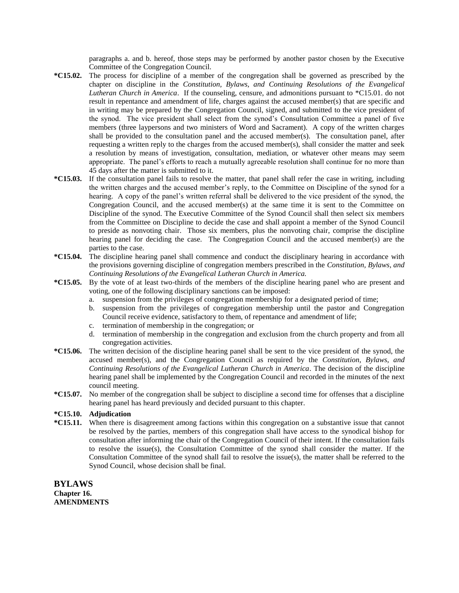paragraphs a. and b. hereof, those steps may be performed by another pastor chosen by the Executive Committee of the Congregation Council.

- **\*C15.02.** The process for discipline of a member of the congregation shall be governed as prescribed by the chapter on discipline in the *Constitution, Bylaws, and Continuing Resolutions of the Evangelical Lutheran Church in America*. If the counseling, censure, and admonitions pursuant to \*C15.01. do not result in repentance and amendment of life, charges against the accused member(s) that are specific and in writing may be prepared by the Congregation Council, signed, and submitted to the vice president of the synod. The vice president shall select from the synod's Consultation Committee a panel of five members (three laypersons and two ministers of Word and Sacrament). A copy of the written charges shall be provided to the consultation panel and the accused member(s). The consultation panel, after requesting a written reply to the charges from the accused member(s), shall consider the matter and seek a resolution by means of investigation, consultation, mediation, or whatever other means may seem appropriate. The panel's efforts to reach a mutually agreeable resolution shall continue for no more than 45 days after the matter is submitted to it.
- **\*C15.03.** If the consultation panel fails to resolve the matter, that panel shall refer the case in writing, including the written charges and the accused member's reply, to the Committee on Discipline of the synod for a hearing. A copy of the panel's written referral shall be delivered to the vice president of the synod, the Congregation Council, and the accused member(s) at the same time it is sent to the Committee on Discipline of the synod. The Executive Committee of the Synod Council shall then select six members from the Committee on Discipline to decide the case and shall appoint a member of the Synod Council to preside as nonvoting chair. Those six members, plus the nonvoting chair, comprise the discipline hearing panel for deciding the case. The Congregation Council and the accused member(s) are the parties to the case.
- **\*C15.04.** The discipline hearing panel shall commence and conduct the disciplinary hearing in accordance with the provisions governing discipline of congregation members prescribed in the *Constitution, Bylaws, and Continuing Resolutions of the Evangelical Lutheran Church in America.*
- **\*C15.05.** By the vote of at least two-thirds of the members of the discipline hearing panel who are present and voting, one of the following disciplinary sanctions can be imposed:
	- a. suspension from the privileges of congregation membership for a designated period of time;
	- b. suspension from the privileges of congregation membership until the pastor and Congregation Council receive evidence, satisfactory to them, of repentance and amendment of life;
	- c. termination of membership in the congregation; or
	- d. termination of membership in the congregation and exclusion from the church property and from all congregation activities.
- **\*C15.06.** The written decision of the discipline hearing panel shall be sent to the vice president of the synod, the accused member(s), and the Congregation Council as required by the *Constitution, Bylaws, and Continuing Resolutions of the Evangelical Lutheran Church in America*. The decision of the discipline hearing panel shall be implemented by the Congregation Council and recorded in the minutes of the next council meeting.
- **\*C15.07.** No member of the congregation shall be subject to discipline a second time for offenses that a discipline hearing panel has heard previously and decided pursuant to this chapter.

#### **\*C15.10. Adjudication**

**\*C15.11.** When there is disagreement among factions within this congregation on a substantive issue that cannot be resolved by the parties, members of this congregation shall have access to the synodical bishop for consultation after informing the chair of the Congregation Council of their intent. If the consultation fails to resolve the issue(s), the Consultation Committee of the synod shall consider the matter. If the Consultation Committee of the synod shall fail to resolve the issue(s), the matter shall be referred to the Synod Council, whose decision shall be final.

**BYLAWS Chapter 16. AMENDMENTS**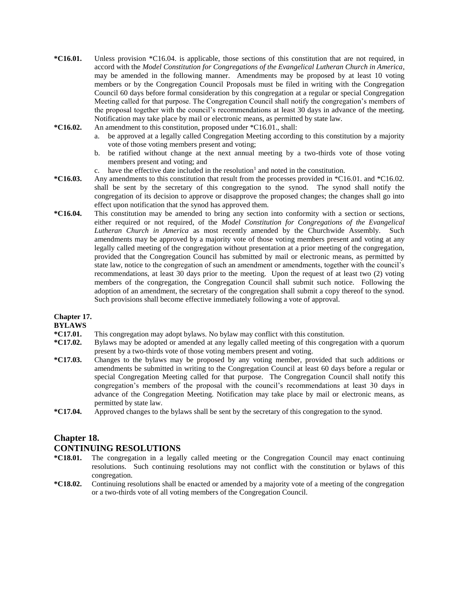- **\*C16.01.** Unless provision \*C16.04. is applicable, those sections of this constitution that are not required, in accord with the *Model Constitution for Congregations of the Evangelical Lutheran Church in America*, may be amended in the following manner. Amendments may be proposed by at least 10 voting members or by the Congregation Council Proposals must be filed in writing with the Congregation Council 60 days before formal consideration by this congregation at a regular or special Congregation Meeting called for that purpose. The Congregation Council shall notify the congregation's members of the proposal together with the council's recommendations at least 30 days in advance of the meeting. Notification may take place by mail or electronic means, as permitted by state law.
- **\*C16.02.** An amendment to this constitution, proposed under \*C16.01., shall:
	- a. be approved at a legally called Congregation Meeting according to this constitution by a majority vote of those voting members present and voting;
	- b. be ratified without change at the next annual meeting by a two-thirds vote of those voting members present and voting; and
	- c. have the effective date included in the resolution<sup>1</sup> and noted in the constitution.
- **\*C16.03.** Any amendments to this constitution that result from the processes provided in \*C16.01. and \*C16.02. shall be sent by the secretary of this congregation to the synod. The synod shall notify the congregation of its decision to approve or disapprove the proposed changes; the changes shall go into effect upon notification that the synod has approved them.
- **\*C16.04.** This constitution may be amended to bring any section into conformity with a section or sections, either required or not required, of the *Model Constitution for Congregations of the Evangelical Lutheran Church in America* as most recently amended by the Churchwide Assembly. Such amendments may be approved by a majority vote of those voting members present and voting at any legally called meeting of the congregation without presentation at a prior meeting of the congregation, provided that the Congregation Council has submitted by mail or electronic means, as permitted by state law, notice to the congregation of such an amendment or amendments, together with the council's recommendations, at least 30 days prior to the meeting. Upon the request of at least two (2) voting members of the congregation, the Congregation Council shall submit such notice. Following the adoption of an amendment, the secretary of the congregation shall submit a copy thereof to the synod. Such provisions shall become effective immediately following a vote of approval.

#### **Chapter 17.**

#### **BYLAWS**

- **\*C17.01.** This congregation may adopt bylaws. No bylaw may conflict with this constitution.
- **\*C17.02.** Bylaws may be adopted or amended at any legally called meeting of this congregation with a quorum present by a two-thirds vote of those voting members present and voting.
- **\*C17.03.** Changes to the bylaws may be proposed by any voting member, provided that such additions or amendments be submitted in writing to the Congregation Council at least 60 days before a regular or special Congregation Meeting called for that purpose. The Congregation Council shall notify this congregation's members of the proposal with the council's recommendations at least 30 days in advance of the Congregation Meeting. Notification may take place by mail or electronic means, as permitted by state law.
- **\*C17.04.** Approved changes to the bylaws shall be sent by the secretary of this congregation to the synod.

#### **Chapter 18.**

#### **CONTINUING RESOLUTIONS**

- **\*C18.01.** The congregation in a legally called meeting or the Congregation Council may enact continuing resolutions. Such continuing resolutions may not conflict with the constitution or bylaws of this congregation.
- **\*C18.02.** Continuing resolutions shall be enacted or amended by a majority vote of a meeting of the congregation or a two-thirds vote of all voting members of the Congregation Council.